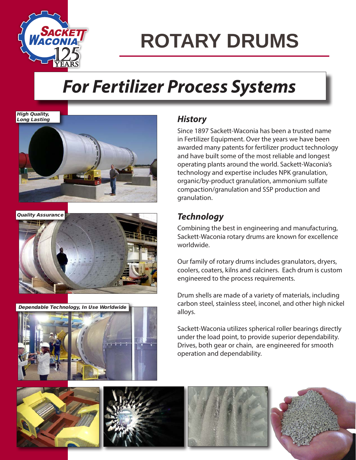

# **ROTARY DRUMS**

# *For Fertilizer Process Systems*







### *History*

Since 1897 Sackett-Waconia has been a trusted name in Fertilizer Equipment. Over the years we have been awarded many patents for fertilizer product technology and have built some of the most reliable and longest operating plants around the world. Sackett-Waconia's technology and expertise includes NPK granulation, organic/by-product granulation, ammonium sulfate compaction/granulation and SSP production and granulation.

### *Technology*

Combining the best in engineering and manufacturing, Sackett-Waconia rotary drums are known for excellence worldwide.

Our family of rotary drums includes granulators, dryers, coolers, coaters, kilns and calciners. Each drum is custom engineered to the process requirements.

Drum shells are made of a variety of materials, including carbon steel, stainless steel, inconel, and other high nickel alloys.

Sackett-Waconia utilizes spherical roller bearings directly under the load point, to provide superior dependability. Drives, both gear or chain, are engineered for smooth operation and dependability.